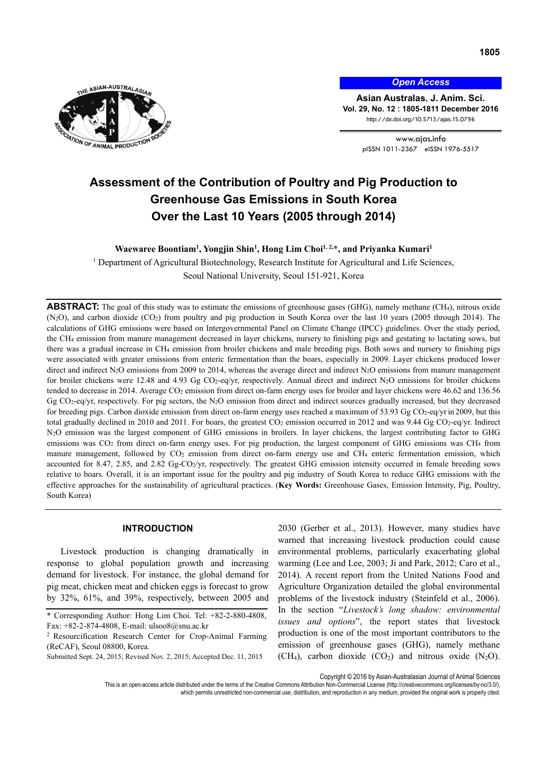

*Open Access*

**Asian Australas. J. Anim. Sci. Vol. 29, No. 12 : 1805-1811 December 2016** http://dx.doi.org/10.5713/ajas.15.0796

> www.ajas.info pISSN 1011-2367 eISSN 1976-5517

# **Assessment of the Contribution of Poultry and Pig Production to Greenhouse Gas Emissions in South Korea Over the Last 10 Years (2005 through 2014)**

**Waewaree Boontiam1 , Yongjin Shin1 , Hong Lim Choi1, 2,**\***, and Priyanka Kumari1**

<sup>1</sup> Department of Agricultural Biotechnology, Research Institute for Agricultural and Life Sciences, Seoul National University, Seoul 151-921, Korea

**ABSTRACT:** The goal of this study was to estimate the emissions of greenhouse gases (GHG), namely methane (CH<sub>4</sub>), nitrous oxide (N2O), and carbon dioxide (CO2) from poultry and pig production in South Korea over the last 10 years (2005 through 2014). The calculations of GHG emissions were based on Intergovernmental Panel on Climate Change (IPCC) guidelines. Over the study period, the CH4 emission from manure management decreased in layer chickens, nursery to finishing pigs and gestating to lactating sows, but there was a gradual increase in CH4 emission from broiler chickens and male breeding pigs. Both sows and nursery to finishing pigs were associated with greater emissions from enteric fermentation than the boars, especially in 2009. Layer chickens produced lower direct and indirect N<sub>2</sub>O emissions from 2009 to 2014, whereas the average direct and indirect N<sub>2</sub>O emissions from manure management for broiler chickens were 12.48 and 4.93 Gg CO2-eq/yr, respectively. Annual direct and indirect N2O emissions for broiler chickens tended to decrease in 2014. Average CO<sub>2</sub> emission from direct on-farm energy uses for broiler and layer chickens were 46.62 and 136.56 Gg  $CO_2$ -eq/yr, respectively. For pig sectors, the N<sub>2</sub>O emission from direct and indirect sources gradually increased, but they decreased for breeding pigs. Carbon dioxide emission from direct on-farm energy uses reached a maximum of 53.93 Gg CO2-eq/yr in 2009, but this total gradually declined in 2010 and 2011. For boars, the greatest CO<sub>2</sub> emission occurred in 2012 and was 9.44 Gg CO<sub>2</sub>-eq/yr. Indirect N2O emission was the largest component of GHG emissions in broilers. In layer chickens, the largest contributing factor to GHG emissions was CO2 from direct on-farm energy uses. For pig production, the largest component of GHG emissions was CH4 from manure management, followed by  $CO<sub>2</sub>$  emission from direct on-farm energy use and CH<sub>4</sub> enteric fermentation emission, which accounted for 8.47, 2.85, and 2.82 Gg-CO2/yr, respectively. The greatest GHG emission intensity occurred in female breeding sows relative to boars. Overall, it is an important issue for the poultry and pig industry of South Korea to reduce GHG emissions with the effective approaches for the sustainability of agricultural practices. (**Key Words:** Greenhouse Gases, Emission Intensity, Pig, Poultry, South Korea)

# **INTRODUCTION**

Livestock production is changing dramatically in response to global population growth and increasing demand for livestock. For instance, the global demand for pig meat, chicken meat and chicken eggs is forecast to grow by 32%, 61%, and 39%, respectively, between 2005 and 2030 (Gerber et al., 2013). However, many studies have warned that increasing livestock production could cause environmental problems, particularly exacerbating global warming (Lee and Lee, 2003; Ji and Park, 2012; Caro et al., 2014). A recent report from the United Nations Food and Agriculture Organization detailed the global environmental problems of the livestock industry (Steinfeld et al., 2006). In the section "*Livestock's long shadow: environmental issues and options*", the report states that livestock production is one of the most important contributors to the emission of greenhouse gases (GHG), namely methane (CH<sub>4</sub>), carbon dioxide (CO<sub>2</sub>) and nitrous oxide (N<sub>2</sub>O).

Copyright © 2016 by Asian-Australasian Journal of Animal Sciences

<sup>\*</sup> Corresponding Author: Hong Lim Choi. Tel: +82-2-880-4808,

Fax: +82-2-874-4808, E-mail: ulsoo8@snu.ac.kr 2 Resourcification Research Center for Crop-Animal Farming (ReCAF), Seoul 08800, Korea.

Submitted Sept. 24, 2015; Revised Nov. 2, 2015; Accepted Dec. 11, 2015

This is an open-access article distributed under the terms of the Creative Commons Attribution Non-Commercial License (http://creativecommons.org/licenses/by-nc/3.0/), which permits unrestricted non-commercial use, distribution, and reproduction in any medium, provided the original work is properly cited.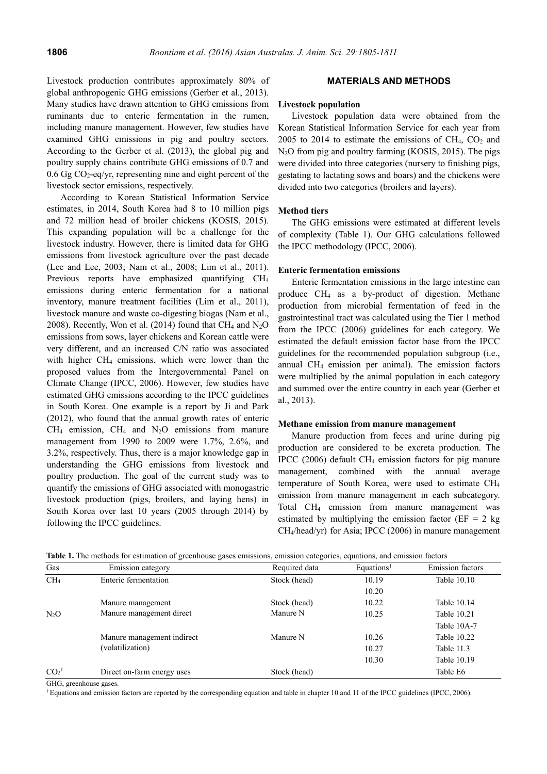Livestock production contributes approximately 80% of global anthropogenic GHG emissions (Gerber et al., 2013). Many studies have drawn attention to GHG emissions from ruminants due to enteric fermentation in the rumen, including manure management. However, few studies have examined GHG emissions in pig and poultry sectors. According to the Gerber et al. (2013), the global pig and poultry supply chains contribute GHG emissions of 0.7 and 0.6 Gg CO2-eq/yr, representing nine and eight percent of the livestock sector emissions, respectively.

According to Korean Statistical Information Service estimates, in 2014, South Korea had 8 to 10 million pigs and 72 million head of broiler chickens (KOSIS, 2015). This expanding population will be a challenge for the livestock industry. However, there is limited data for GHG emissions from livestock agriculture over the past decade (Lee and Lee, 2003; Nam et al., 2008; Lim et al., 2011). Previous reports have emphasized quantifying CH4 emissions during enteric fermentation for a national inventory, manure treatment facilities (Lim et al., 2011), livestock manure and waste co-digesting biogas (Nam et al., 2008). Recently, Won et al. (2014) found that CH<sub>4</sub> and  $N_2O$ emissions from sows, layer chickens and Korean cattle were very different, and an increased C/N ratio was associated with higher CH4 emissions, which were lower than the proposed values from the Intergovernmental Panel on Climate Change (IPCC, 2006). However, few studies have estimated GHG emissions according to the IPCC guidelines in South Korea. One example is a report by Ji and Park (2012), who found that the annual growth rates of enteric  $CH<sub>4</sub>$  emission,  $CH<sub>4</sub>$  and  $N<sub>2</sub>O$  emissions from manure management from 1990 to 2009 were 1.7%, 2.6%, and 3.2%, respectively. Thus, there is a major knowledge gap in understanding the GHG emissions from livestock and poultry production. The goal of the current study was to quantify the emissions of GHG associated with monogastric livestock production (pigs, broilers, and laying hens) in South Korea over last 10 years (2005 through 2014) by following the IPCC guidelines.

### **MATERIALS AND METHODS**

### **Livestock population**

Livestock population data were obtained from the Korean Statistical Information Service for each year from 2005 to 2014 to estimate the emissions of  $CH<sub>4</sub>$ ,  $CO<sub>2</sub>$  and N2O from pig and poultry farming (KOSIS, 2015). The pigs were divided into three categories (nursery to finishing pigs, gestating to lactating sows and boars) and the chickens were divided into two categories (broilers and layers).

#### **Method tiers**

The GHG emissions were estimated at different levels of complexity (Table 1). Our GHG calculations followed the IPCC methodology (IPCC, 2006).

#### **Enteric fermentation emissions**

Enteric fermentation emissions in the large intestine can produce CH4 as a by-product of digestion. Methane production from microbial fermentation of feed in the gastrointestinal tract was calculated using the Tier 1 method from the IPCC (2006) guidelines for each category. We estimated the default emission factor base from the IPCC guidelines for the recommended population subgroup (i.e., annual CH4 emission per animal). The emission factors were multiplied by the animal population in each category and summed over the entire country in each year (Gerber et al., 2013).

#### **Methane emission from manure management**

Manure production from feces and urine during pig production are considered to be excreta production. The IPCC (2006) default CH4 emission factors for pig manure management, combined with the annual average temperature of South Korea, were used to estimate CH4 emission from manure management in each subcategory. Total CH4 emission from manure management was estimated by multiplying the emission factor ( $EF = 2$  kg) CH4/head/yr) for Asia; IPCC (2006) in manure management

| Gas                          | Emission category          | Required data | Equations <sup>1</sup> | <b>Emission</b> factors |
|------------------------------|----------------------------|---------------|------------------------|-------------------------|
| CH <sub>4</sub>              | Enteric fermentation       | Stock (head)  | 10.19                  | Table 10.10             |
|                              |                            |               | 10.20                  |                         |
|                              | Manure management          | Stock (head)  | 10.22                  | Table 10.14             |
| $N_2O$                       | Manure management direct   | Manure N      | 10.25                  | Table 10.21             |
|                              |                            |               |                        | Table 10A-7             |
|                              | Manure management indirect | Manure N      | 10.26                  | Table 10.22             |
|                              | (volatilization)           |               | 10.27                  | Table 11.3              |
|                              |                            |               | 10.30                  | Table 10.19             |
| CO <sub>2</sub> <sup>1</sup> | Direct on-farm energy uses | Stock (head)  |                        | Table E6                |

**Table 1.** The methods for estimation of greenhouse gases emissions, emission categories, equations, and emission factors

GHG, greenhouse gases.

1 Equations and emission factors are reported by the corresponding equation and table in chapter 10 and 11 of the IPCC guidelines (IPCC, 2006).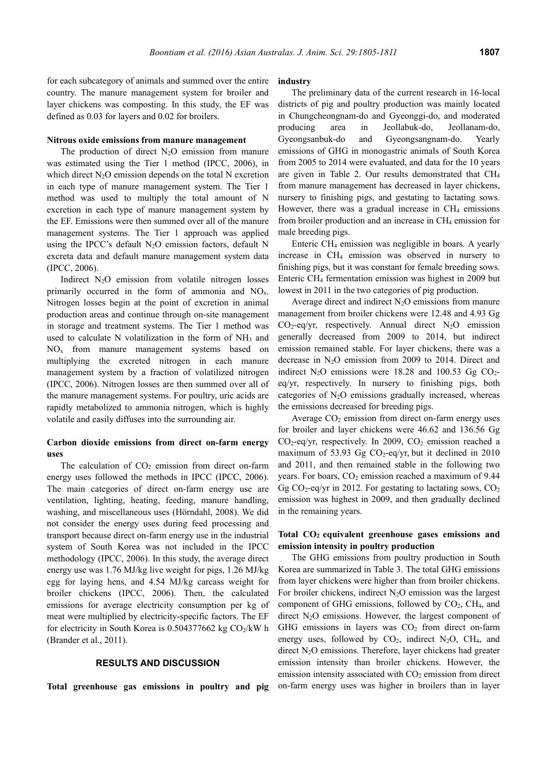for each subcategory of animals and summed over the entire country. The manure management system for broiler and layer chickens was composting. In this study, the EF was defined as 0.03 for layers and 0.02 for broilers.

### **Nitrous oxide emissions from manure management**

The production of direct  $N_2O$  emission from manure was estimated using the Tier 1 method (IPCC, 2006), in which direct  $N_2O$  emission depends on the total N excretion in each type of manure management system. The Tier 1 method was used to multiply the total amount of N excretion in each type of manure management system by the EF. Emissions were then summed over all of the manure management systems. The Tier 1 approach was applied using the IPCC's default  $N_2O$  emission factors, default N excreta data and default manure management system data (IPCC, 2006).

Indirect  $N_2O$  emission from volatile nitrogen losses primarily occurred in the form of ammonia and  $NO<sub>x</sub>$ . Nitrogen losses begin at the point of excretion in animal production areas and continue through on-site management in storage and treatment systems. The Tier 1 method was used to calculate N volatilization in the form of  $NH_3$  and  $NO<sub>x</sub>$  from manure management systems based on multiplying the excreted nitrogen in each manure management system by a fraction of volatilized nitrogen (IPCC, 2006). Nitrogen losses are then summed over all of the manure management systems. For poultry, uric acids are rapidly metabolized to ammonia nitrogen, which is highly volatile and easily diffuses into the surrounding air.

# **Carbon dioxide emissions from direct on-farm energy uses**

The calculation of  $CO<sub>2</sub>$  emission from direct on-farm energy uses followed the methods in IPCC (IPCC, 2006). The main categories of direct on-farm energy use are ventilation, lighting, heating, feeding, manure handling, washing, and miscellaneous uses (Hörndahl, 2008). We did not consider the energy uses during feed processing and transport because direct on-farm energy use in the industrial system of South Korea was not included in the IPCC methodology (IPCC, 2006). In this study, the average direct energy use was 1.76 MJ/kg live weight for pigs, 1.26 MJ/kg egg for laying hens, and 4.54 MJ/kg carcass weight for broiler chickens (IPCC, 2006). Then, the calculated emissions for average electricity consumption per kg of meat were multiplied by electricity-specific factors. The EF for electricity in South Korea is  $0.504377662$  kg  $CO<sub>2</sub>/kW$  h (Brander et al., 2011).

### **RESULTS AND DISCUSSION**

**Total greenhouse gas emissions in poultry and pig** 

#### **industry**

The preliminary data of the current research in 16-local districts of pig and poultry production was mainly located in Chungcheongnam-do and Gyeonggi-do, and moderated producing area in Jeollabuk-do, Jeollanam-do, Gyeongsanbuk-do and Gyeongsangnam-do. Yearly emissions of GHG in monogastric animals of South Korea from 2005 to 2014 were evaluated, and data for the 10 years are given in Table 2. Our results demonstrated that CH4 from manure management has decreased in layer chickens, nursery to finishing pigs, and gestating to lactating sows. However, there was a gradual increase in  $CH<sub>4</sub>$  emissions from broiler production and an increase in CH4 emission for male breeding pigs.

Enteric CH4 emission was negligible in boars. A yearly increase in CH4 emission was observed in nursery to finishing pigs, but it was constant for female breeding sows. Enteric CH4 fermentation emission was highest in 2009 but lowest in 2011 in the two categories of pig production.

Average direct and indirect  $N_2O$  emissions from manure management from broiler chickens were 12.48 and 4.93 Gg  $CO_2$ -eq/yr, respectively. Annual direct N<sub>2</sub>O emission generally decreased from 2009 to 2014, but indirect emission remained stable. For layer chickens, there was a decrease in N2O emission from 2009 to 2014. Direct and indirect N<sub>2</sub>O emissions were 18.28 and 100.53 Gg  $CO<sub>2</sub>$ eq/yr, respectively. In nursery to finishing pigs, both categories of  $N_2O$  emissions gradually increased, whereas the emissions decreased for breeding pigs.

Average  $CO<sub>2</sub>$  emission from direct on-farm energy uses for broiler and layer chickens were 46.62 and 136.56 Gg  $CO<sub>2</sub>$ -eq/yr, respectively. In 2009,  $CO<sub>2</sub>$  emission reached a maximum of 53.93 Gg  $CO<sub>2</sub>$ -eq/yr, but it declined in 2010 and 2011, and then remained stable in the following two years. For boars,  $CO<sub>2</sub>$  emission reached a maximum of 9.44 Gg  $CO_2$ -eq/yr in 2012. For gestating to lactating sows,  $CO_2$ emission was highest in 2009, and then gradually declined in the remaining years.

# **Total CO2 equivalent greenhouse gases emissions and emission intensity in poultry production**

The GHG emissions from poultry production in South Korea are summarized in Table 3. The total GHG emissions from layer chickens were higher than from broiler chickens. For broiler chickens, indirect  $N_2O$  emission was the largest component of GHG emissions, followed by  $CO<sub>2</sub>$ , CH<sub>4</sub>, and direct  $N_2O$  emissions. However, the largest component of GHG emissions in layers was  $CO<sub>2</sub>$  from direct on-farm energy uses, followed by  $CO<sub>2</sub>$ , indirect N<sub>2</sub>O, CH<sub>4</sub>, and direct N<sub>2</sub>O emissions. Therefore, layer chickens had greater emission intensity than broiler chickens. However, the emission intensity associated with  $CO<sub>2</sub>$  emission from direct on-farm energy uses was higher in broilers than in layer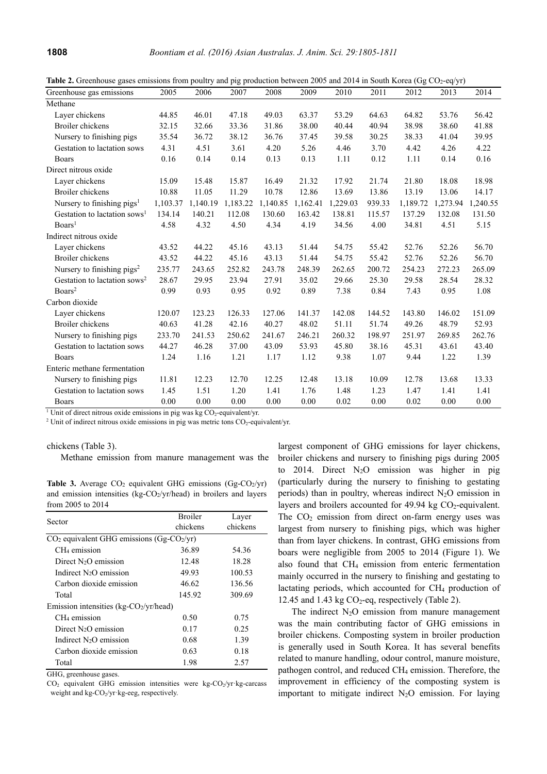| Greenhouse gas emissions                 | 2005     | 2006     | 2007     | 2008     | 2009     | 2010     | 2011   | 2012     | 2013     | 2014     |
|------------------------------------------|----------|----------|----------|----------|----------|----------|--------|----------|----------|----------|
| Methane                                  |          |          |          |          |          |          |        |          |          |          |
| Layer chickens                           | 44.85    | 46.01    | 47.18    | 49.03    | 63.37    | 53.29    | 64.63  | 64.82    | 53.76    | 56.42    |
| Broiler chickens                         | 32.15    | 32.66    | 33.36    | 31.86    | 38.00    | 40.44    | 40.94  | 38.98    | 38.60    | 41.88    |
| Nursery to finishing pigs                | 35.54    | 36.72    | 38.12    | 36.76    | 37.45    | 39.58    | 30.25  | 38.33    | 41.04    | 39.95    |
| Gestation to lactation sows              | 4.31     | 4.51     | 3.61     | 4.20     | 5.26     | 4.46     | 3.70   | 4.42     | 4.26     | 4.22     |
| <b>Boars</b>                             | 0.16     | 0.14     | 0.14     | 0.13     | 0.13     | 1.11     | 0.12   | 1.11     | 0.14     | 0.16     |
| Direct nitrous oxide                     |          |          |          |          |          |          |        |          |          |          |
| Layer chickens                           | 15.09    | 15.48    | 15.87    | 16.49    | 21.32    | 17.92    | 21.74  | 21.80    | 18.08    | 18.98    |
| Broiler chickens                         | 10.88    | 11.05    | 11.29    | 10.78    | 12.86    | 13.69    | 13.86  | 13.19    | 13.06    | 14.17    |
| Nursery to finishing pigs <sup>1</sup>   | 1,103.37 | 1,140.19 | 1,183.22 | 1,140.85 | 1,162.41 | 1,229.03 | 939.33 | 1,189.72 | 1,273.94 | 1,240.55 |
| Gestation to lactation sows <sup>1</sup> | 134.14   | 140.21   | 112.08   | 130.60   | 163.42   | 138.81   | 115.57 | 137.29   | 132.08   | 131.50   |
| Boars <sup>1</sup>                       | 4.58     | 4.32     | 4.50     | 4.34     | 4.19     | 34.56    | 4.00   | 34.81    | 4.51     | 5.15     |
| Indirect nitrous oxide                   |          |          |          |          |          |          |        |          |          |          |
| Layer chickens                           | 43.52    | 44.22    | 45.16    | 43.13    | 51.44    | 54.75    | 55.42  | 52.76    | 52.26    | 56.70    |
| Broiler chickens                         | 43.52    | 44.22    | 45.16    | 43.13    | 51.44    | 54.75    | 55.42  | 52.76    | 52.26    | 56.70    |
| Nursery to finishing $pigs2$             | 235.77   | 243.65   | 252.82   | 243.78   | 248.39   | 262.65   | 200.72 | 254.23   | 272.23   | 265.09   |
| Gestation to lactation sows <sup>2</sup> | 28.67    | 29.95    | 23.94    | 27.91    | 35.02    | 29.66    | 25.30  | 29.58    | 28.54    | 28.32    |
| Boars <sup>2</sup>                       | 0.99     | 0.93     | 0.95     | 0.92     | 0.89     | 7.38     | 0.84   | 7.43     | 0.95     | 1.08     |
| Carbon dioxide                           |          |          |          |          |          |          |        |          |          |          |
| Layer chickens                           | 120.07   | 123.23   | 126.33   | 127.06   | 141.37   | 142.08   | 144.52 | 143.80   | 146.02   | 151.09   |
| Broiler chickens                         | 40.63    | 41.28    | 42.16    | 40.27    | 48.02    | 51.11    | 51.74  | 49.26    | 48.79    | 52.93    |
| Nursery to finishing pigs                | 233.70   | 241.53   | 250.62   | 241.67   | 246.21   | 260.32   | 198.97 | 251.97   | 269.85   | 262.76   |
| Gestation to lactation sows              | 44.27    | 46.28    | 37.00    | 43.09    | 53.93    | 45.80    | 38.16  | 45.31    | 43.61    | 43.40    |
| <b>Boars</b>                             | 1.24     | 1.16     | 1.21     | 1.17     | 1.12     | 9.38     | 1.07   | 9.44     | 1.22     | 1.39     |
| Enteric methane fermentation             |          |          |          |          |          |          |        |          |          |          |
| Nursery to finishing pigs                | 11.81    | 12.23    | 12.70    | 12.25    | 12.48    | 13.18    | 10.09  | 12.78    | 13.68    | 13.33    |
| Gestation to lactation sows              | 1.45     | 1.51     | 1.20     | 1.41     | 1.76     | 1.48     | 1.23   | 1.47     | 1.41     | 1.41     |
| Boars                                    | 0.00     | 0.00     | 0.00     | 0.00     | 0.00     | 0.02     | 0.00   | 0.02     | 0.00     | 0.00     |

**Table 2.** Greenhouse gases emissions from poultry and pig production between 2005 and 2014 in South Korea (Gg CO<sub>2</sub>-eq/yr)

<sup>1</sup> Unit of direct nitrous oxide emissions in pig was kg  $CO_2$ -equivalent/yr.

<sup>2</sup> Unit of indirect nitrous oxide emissions in pig was metric tons  $CO_2$ -equivalent/yr.

#### chickens (Table 3).

Methane emission from manure management was the

Table 3. Average CO<sub>2</sub> equivalent GHG emissions (Gg-CO<sub>2</sub>/yr) and emission intensities (kg-CO2/yr/head) in broilers and layers from 2005 to 2014

| Sector                                                  | <b>Broiler</b> | Layer    |  |  |  |  |
|---------------------------------------------------------|----------------|----------|--|--|--|--|
|                                                         | chickens       | chickens |  |  |  |  |
| $CO2$ equivalent GHG emissions (Gg-CO <sub>2</sub> /yr) |                |          |  |  |  |  |
| $CH4$ emission                                          | 36.89          | 54.36    |  |  |  |  |
| Direct $N_2O$ emission                                  | 12.48          | 18.28    |  |  |  |  |
| Indirect $N2O$ emission                                 | 49.93          | 100.53   |  |  |  |  |
| Carbon dioxide emission                                 | 46.62          | 136.56   |  |  |  |  |
| Total                                                   | 145.92         | 309.69   |  |  |  |  |
| Emission intensities ( $kg-CO2/yr/head$ )               |                |          |  |  |  |  |
| $CH4$ emission                                          | 0.50           | 0.75     |  |  |  |  |
| Direct $N2O$ emission                                   | 0.17           | 0.25     |  |  |  |  |
| Indirect $N2O$ emission                                 | 0.68           | 1.39     |  |  |  |  |
| Carbon dioxide emission                                 | 0.63           | 0.18     |  |  |  |  |
| Total                                                   | 1.98           | 2.57     |  |  |  |  |

GHG, greenhouse gases.

 $CO<sub>2</sub>$  equivalent GHG emission intensities were kg- $CO<sub>2</sub>/yr$ ·kg-carcass weight and kg-CO<sub>2</sub>/yr·kg-eeg, respectively.

largest component of GHG emissions for layer chickens, broiler chickens and nursery to finishing pigs during 2005 to 2014. Direct  $N_2O$  emission was higher in pig (particularly during the nursery to finishing to gestating periods) than in poultry, whereas indirect  $N_2O$  emission in layers and broilers accounted for 49.94 kg  $CO<sub>2</sub>$ -equivalent. The  $CO<sub>2</sub>$  emission from direct on-farm energy uses was largest from nursery to finishing pigs, which was higher than from layer chickens. In contrast, GHG emissions from boars were negligible from 2005 to 2014 (Figure 1). We also found that CH4 emission from enteric fermentation mainly occurred in the nursery to finishing and gestating to lactating periods, which accounted for CH<sub>4</sub> production of 12.45 and 1.43 kg  $CO<sub>2</sub>$ -eq, respectively (Table 2).

The indirect  $N<sub>2</sub>O$  emission from manure management was the main contributing factor of GHG emissions in broiler chickens. Composting system in broiler production is generally used in South Korea. It has several benefits related to manure handling, odour control, manure moisture, pathogen control, and reduced CH4 emission. Therefore, the improvement in efficiency of the composting system is important to mitigate indirect  $N_2O$  emission. For laying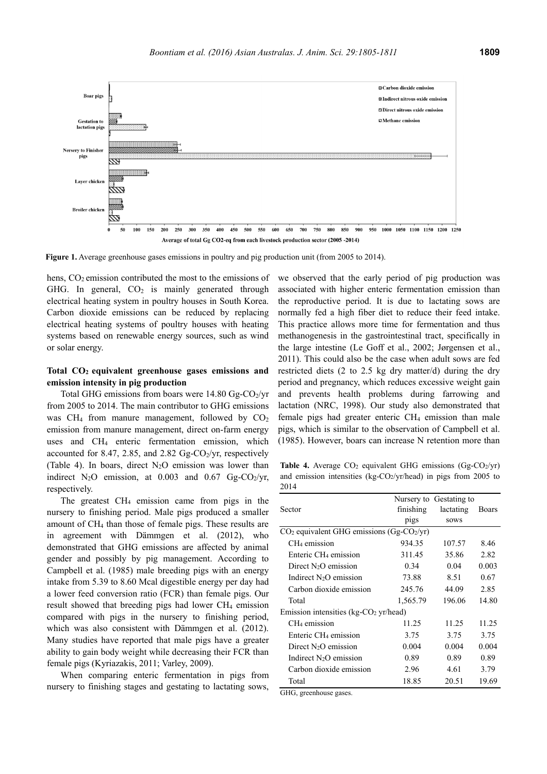

**Figure 1.** Average greenhouse gases emissions in poultry and pig production unit (from 2005 to 2014).

hens,  $CO<sub>2</sub>$  emission contributed the most to the emissions of GHG. In general,  $CO<sub>2</sub>$  is mainly generated through electrical heating system in poultry houses in South Korea. Carbon dioxide emissions can be reduced by replacing electrical heating systems of poultry houses with heating systems based on renewable energy sources, such as wind or solar energy.

# **Total CO2 equivalent greenhouse gases emissions and emission intensity in pig production**

Total GHG emissions from boars were  $14.80$  Gg-CO<sub>2</sub>/yr from 2005 to 2014. The main contributor to GHG emissions was  $CH_4$  from manure management, followed by  $CO_2$ emission from manure management, direct on-farm energy uses and CH4 enteric fermentation emission, which accounted for 8.47, 2.85, and 2.82 Gg-CO<sub>2</sub>/yr, respectively (Table 4). In boars, direct  $N_2O$  emission was lower than indirect N<sub>2</sub>O emission, at  $0.003$  and  $0.67$  Gg-CO<sub>2</sub>/yr, respectively.

The greatest CH4 emission came from pigs in the nursery to finishing period. Male pigs produced a smaller amount of CH4 than those of female pigs. These results are in agreement with Dämmgen et al. (2012), who demonstrated that GHG emissions are affected by animal gender and possibly by pig management. According to Campbell et al. (1985) male breeding pigs with an energy intake from 5.39 to 8.60 Mcal digestible energy per day had a lower feed conversion ratio (FCR) than female pigs. Our result showed that breeding pigs had lower CH<sub>4</sub> emission compared with pigs in the nursery to finishing period, which was also consistent with Dämmgen et al. (2012). Many studies have reported that male pigs have a greater ability to gain body weight while decreasing their FCR than female pigs (Kyriazakis, 2011; Varley, 2009).

When comparing enteric fermentation in pigs from nursery to finishing stages and gestating to lactating sows, we observed that the early period of pig production was associated with higher enteric fermentation emission than the reproductive period. It is due to lactating sows are normally fed a high fiber diet to reduce their feed intake. This practice allows more time for fermentation and thus methanogenesis in the gastrointestinal tract, specifically in the large intestine (Le Goff et al., 2002; Jørgensen et al., 2011). This could also be the case when adult sows are fed restricted diets (2 to 2.5 kg dry matter/d) during the dry period and pregnancy, which reduces excessive weight gain and prevents health problems during farrowing and lactation (NRC, 1998). Our study also demonstrated that female pigs had greater enteric CH4 emission than male pigs, which is similar to the observation of Campbell et al. (1985). However, boars can increase N retention more than

Table 4. Average CO<sub>2</sub> equivalent GHG emissions (Gg-CO<sub>2</sub>/yr) and emission intensities (kg-CO2/yr/head) in pigs from 2005 to 2014

|                                                         |           | Nursery to Gestating to |       |  |  |  |
|---------------------------------------------------------|-----------|-------------------------|-------|--|--|--|
| Sector                                                  | finishing | lactating               | Boars |  |  |  |
|                                                         | pigs      | sows                    |       |  |  |  |
| $CO2$ equivalent GHG emissions (Gg-CO <sub>2</sub> /yr) |           |                         |       |  |  |  |
| $CH4$ emission                                          | 934.35    | 107.57                  | 8.46  |  |  |  |
| Enteric CH <sub>4</sub> emission                        | 311.45    | 35.86                   | 2.82  |  |  |  |
| Direct $N2O$ emission                                   | 0.34      | 0.04                    | 0.003 |  |  |  |
| Indirect $N_2O$ emission                                | 73.88     | 8.51                    | 0.67  |  |  |  |
| Carbon dioxide emission                                 | 245.76    | 44.09                   | 2.85  |  |  |  |
| Total                                                   | 1,565.79  | 196.06                  | 14.80 |  |  |  |
| Emission intensities ( $kg$ - $CO2$ yr/head)            |           |                         |       |  |  |  |
| $CH4$ emission                                          | 11.25     | 11.25                   | 11.25 |  |  |  |
| Enteric CH <sub>4</sub> emission                        | 3.75      | 3.75                    | 3.75  |  |  |  |
| Direct $N2O$ emission                                   | 0.004     | 0.004                   | 0.004 |  |  |  |
| Indirect $N_2O$ emission                                | 0.89      | 0.89                    | 0.89  |  |  |  |
| Carbon dioxide emission                                 | 2.96      | 4.61                    | 3.79  |  |  |  |
| Total                                                   | 18.85     | 20.51                   | 19.69 |  |  |  |

GHG, greenhouse gases.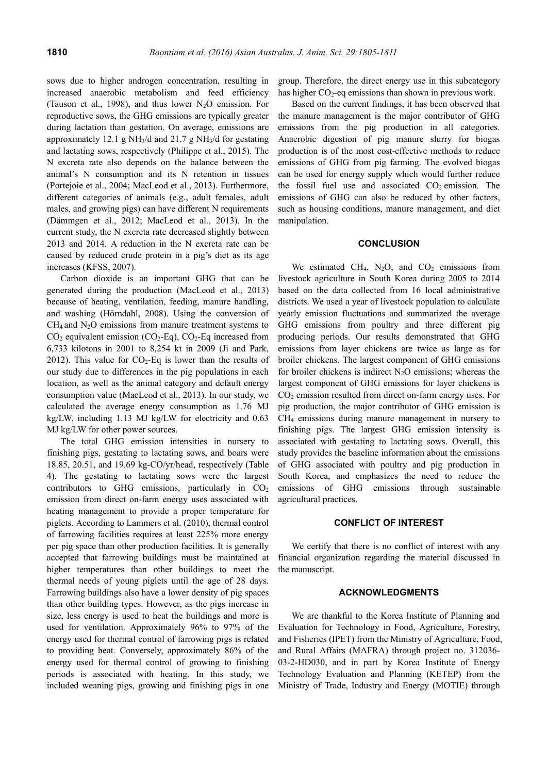sows due to higher androgen concentration, resulting in increased anaerobic metabolism and feed efficiency (Tauson et al., 1998), and thus lower  $N_2O$  emission. For reproductive sows, the GHG emissions are typically greater during lactation than gestation. On average, emissions are approximately 12.1 g NH<sub>3</sub>/d and 21.7 g NH<sub>3</sub>/d for gestating and lactating sows, respectively (Philippe et al., 2015). The N excreta rate also depends on the balance between the animal's N consumption and its N retention in tissues (Portejoie et al., 2004; MacLeod et al., 2013). Furthermore, different categories of animals (e.g., adult females, adult males, and growing pigs) can have different N requirements (Dämmgen et al., 2012; MacLeod et al., 2013). In the current study, the N excreta rate decreased slightly between 2013 and 2014. A reduction in the N excreta rate can be caused by reduced crude protein in a pig's diet as its age increases (KFSS, 2007).

Carbon dioxide is an important GHG that can be generated during the production (MacLeod et al., 2013) because of heating, ventilation, feeding, manure handling, and washing (Hörndahl, 2008). Using the conversion of  $CH_4$  and  $N_2O$  emissions from manure treatment systems to  $CO<sub>2</sub>$  equivalent emission ( $CO<sub>2</sub>$ -Eq),  $CO<sub>2</sub>$ -Eq increased from 6,733 kilotons in 2001 to 8,254 kt in 2009 (Ji and Park, 2012). This value for  $CO<sub>2</sub>$ -Eq is lower than the results of our study due to differences in the pig populations in each location, as well as the animal category and default energy consumption value (MacLeod et al., 2013). In our study, we calculated the average energy consumption as 1.76 MJ kg/LW, including 1.13 MJ kg/LW for electricity and 0.63 MJ kg/LW for other power sources.

The total GHG emission intensities in nursery to finishing pigs, gestating to lactating sows, and boars were 18.85, 20.51, and 19.69 kg-CO/yr/head, respectively (Table 4). The gestating to lactating sows were the largest contributors to GHG emissions, particularly in  $CO<sub>2</sub>$ emission from direct on-farm energy uses associated with heating management to provide a proper temperature for piglets. According to Lammers et al. (2010), thermal control of farrowing facilities requires at least 225% more energy per pig space than other production facilities. It is generally accepted that farrowing buildings must be maintained at higher temperatures than other buildings to meet the thermal needs of young piglets until the age of 28 days. Farrowing buildings also have a lower density of pig spaces than other building types. However, as the pigs increase in size, less energy is used to heat the buildings and more is used for ventilation. Approximately 96% to 97% of the energy used for thermal control of farrowing pigs is related to providing heat. Conversely, approximately 86% of the energy used for thermal control of growing to finishing periods is associated with heating. In this study, we included weaning pigs, growing and finishing pigs in one group. Therefore, the direct energy use in this subcategory has higher  $CO<sub>2</sub>$ -eq emissions than shown in previous work.

Based on the current findings, it has been observed that the manure management is the major contributor of GHG emissions from the pig production in all categories. Anaerobic digestion of pig manure slurry for biogas production is of the most cost-effective methods to reduce emissions of GHG from pig farming. The evolved biogas can be used for energy supply which would further reduce the fossil fuel use and associated  $CO<sub>2</sub>$  emission. The emissions of GHG can also be reduced by other factors, such as housing conditions, manure management, and diet manipulation.

# **CONCLUSION**

We estimated CH<sub>4</sub>, N<sub>2</sub>O, and CO<sub>2</sub> emissions from livestock agriculture in South Korea during 2005 to 2014 based on the data collected from 16 local administrative districts. We used a year of livestock population to calculate yearly emission fluctuations and summarized the average GHG emissions from poultry and three different pig producing periods. Our results demonstrated that GHG emissions from layer chickens are twice as large as for broiler chickens. The largest component of GHG emissions for broiler chickens is indirect  $N<sub>2</sub>O$  emissions; whereas the largest component of GHG emissions for layer chickens is CO2 emission resulted from direct on-farm energy uses. For pig production, the major contributor of GHG emission is CH4 emissions during manure management in nursery to finishing pigs. The largest GHG emission intensity is associated with gestating to lactating sows. Overall, this study provides the baseline information about the emissions of GHG associated with poultry and pig production in South Korea, and emphasizes the need to reduce the emissions of GHG emissions through sustainable agricultural practices.

### **CONFLICT OF INTEREST**

We certify that there is no conflict of interest with any financial organization regarding the material discussed in the manuscript.

# **ACKNOWLEDGMENTS**

We are thankful to the Korea Institute of Planning and Evaluation for Technology in Food, Agriculture, Forestry, and Fisheries (IPET) from the Ministry of Agriculture, Food, and Rural Affairs (MAFRA) through project no. 312036- 03-2-HD030, and in part by Korea Institute of Energy Technology Evaluation and Planning (KETEP) from the Ministry of Trade, Industry and Energy (MOTIE) through